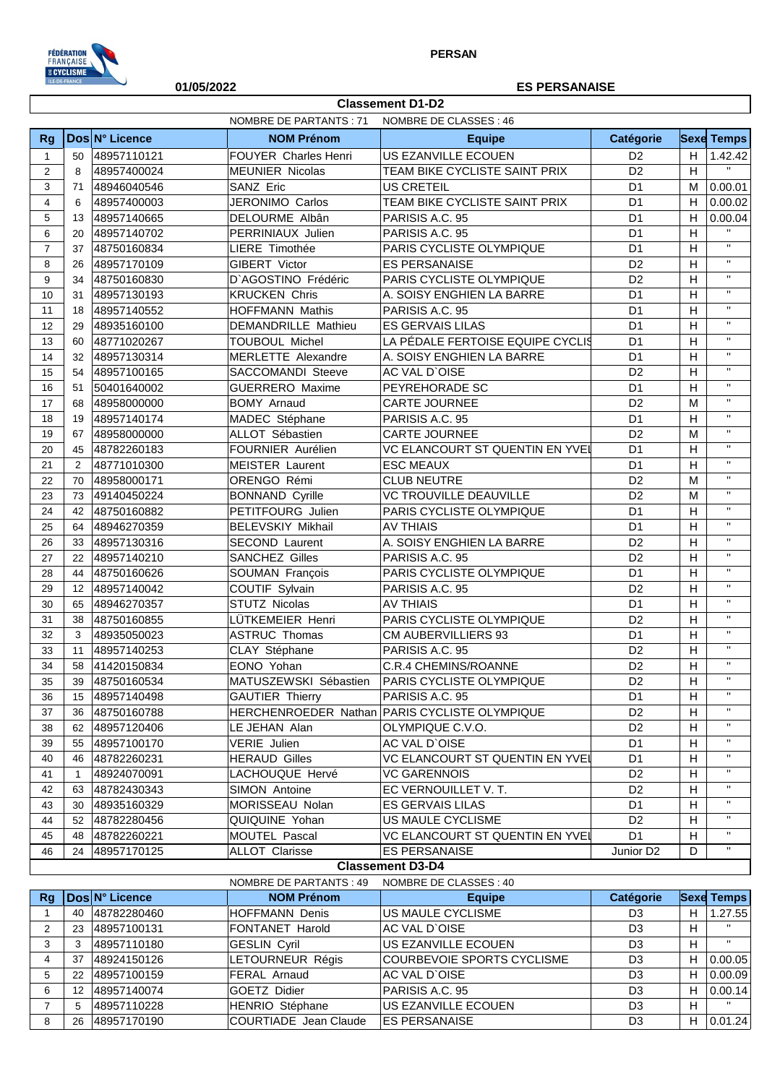

**Classement D1-D2** 

## 01/05/2022

## **ES PERSANAISE**

|                | NOMBRE DE CLASSES: 46<br>NOMBRE DE PARTANTS : 71 |                            |                                  |                                               |                                  |                           |                           |  |
|----------------|--------------------------------------------------|----------------------------|----------------------------------|-----------------------------------------------|----------------------------------|---------------------------|---------------------------|--|
| <b>Rg</b>      |                                                  | Dos N° Licence             | <b>NOM Prénom</b>                | <b>Equipe</b>                                 | Catégorie                        |                           | <b>Sexe Temps</b>         |  |
| $\mathbf{1}$   | 50                                               | 48957110121                | FOUYER Charles Henri             | US EZANVILLE ECOUEN                           | D <sub>2</sub>                   | H                         | 1.42.42                   |  |
| $\mathbf{2}$   | 8                                                | 48957400024                | <b>MEUNIER Nicolas</b>           | TEAM BIKE CYCLISTE SAINT PRIX                 | D <sub>2</sub>                   | H                         | $\mathbf{H}$              |  |
| 3              | 71                                               | 48946040546                | SANZ Eric                        | US CRETEIL                                    | D <sub>1</sub>                   | М                         | 0.00.01                   |  |
| $\overline{4}$ | 6                                                | 48957400003                | JERONIMO Carlos                  | TEAM BIKE CYCLISTE SAINT PRIX                 | D <sub>1</sub>                   | H                         | 0.00.02                   |  |
| 5              | 13                                               | 48957140665                | DELOURME Albân                   | PARISIS A.C. 95                               | D <sub>1</sub>                   | H                         | 0.00.04                   |  |
| 6              | 20                                               | 48957140702                | PERRINIAUX Julien                | PARISIS A.C. 95                               | D <sub>1</sub>                   | H                         | $\mathbf{H}$              |  |
| $\overline{7}$ | 37                                               | 48750160834                | LIERE Timothée                   | PARIS CYCLISTE OLYMPIQUE                      | D <sub>1</sub>                   | H                         | $\mathbf{H}$              |  |
| 8              | 26                                               | 48957170109                | GIBERT Victor                    | <b>ES PERSANAISE</b>                          | D <sub>2</sub>                   | $\boldsymbol{\mathsf{H}}$ | $\mathbf{H}$              |  |
| 9              | 34                                               | 48750160830                | D'AGOSTINO Frédéric              | PARIS CYCLISTE OLYMPIQUE                      | D <sub>2</sub>                   | $\boldsymbol{\mathsf{H}}$ | $\mathbf{H}$              |  |
| 10             | 31                                               | 48957130193                | <b>KRUCKEN Chris</b>             | A. SOISY ENGHIEN LA BARRE                     | D <sub>1</sub>                   | H                         | $\mathbf{H}$              |  |
| 11             | 18                                               | 48957140552                | <b>HOFFMANN Mathis</b>           | PARISIS A.C. 95                               | D <sub>1</sub>                   | H                         | $\mathbf{H}$              |  |
| 12             | 29                                               | 48935160100                | DEMANDRILLE Mathieu              | <b>ES GERVAIS LILAS</b>                       | D <sub>1</sub>                   | $\boldsymbol{\mathsf{H}}$ | $\mathbf{H}$              |  |
| 13             | 60                                               | 48771020267                | <b>TOUBOUL Michel</b>            | LA PÉDALE FERTOISE EQUIPE CYCLIS              | D <sub>1</sub>                   | H                         | $\mathbf{H}$              |  |
| 14             | 32                                               | 48957130314                | MERLETTE Alexandre               | A. SOISY ENGHIEN LA BARRE                     | D <sub>1</sub>                   | H                         | $\mathbf{H}$              |  |
| 15             | 54                                               | 48957100165                | SACCOMANDI Steeve                | AC VAL D'OISE                                 | D <sub>2</sub>                   | H                         | $\mathbf{H}$              |  |
| 16             | 51                                               | 50401640002                | <b>GUERRERO Maxime</b>           | PEYREHORADE SC                                | D <sub>1</sub>                   | $\boldsymbol{\mathsf{H}}$ | $\mathbf{H}$              |  |
| 17             | 68                                               | 48958000000                | <b>BOMY Arnaud</b>               | <b>CARTE JOURNEE</b>                          | D <sub>2</sub>                   | M                         | $\mathbf{H}$              |  |
| 18             | 19                                               | 48957140174                | MADEC Stéphane                   | PARISIS A.C. 95                               | D <sub>1</sub>                   | $\boldsymbol{\mathsf{H}}$ | $\mathbf{H}$              |  |
| 19             | 67                                               | 48958000000                | ALLOT Sébastien                  | CARTE JOURNEE                                 | D <sub>2</sub>                   | M                         | $\mathbf{H}$              |  |
| 20             | 45                                               | 48782260183                | FOURNIER Aurélien                | VC ELANCOURT ST QUENTIN EN YVEL               | D <sub>1</sub>                   | $\boldsymbol{\mathsf{H}}$ | $\mathbf{H}$              |  |
| 21             | 2                                                | 48771010300                | <b>MEISTER Laurent</b>           | <b>ESC MEAUX</b>                              | D <sub>1</sub>                   | $\boldsymbol{\mathsf{H}}$ | $\mathbf{H}$              |  |
| 22             | 70                                               | 48958000171                | ORENGO Rémi                      | <b>CLUB NEUTRE</b>                            | D <sub>2</sub>                   | M                         | $\mathbf{H}$              |  |
| 23             | 73                                               | 49140450224                | <b>BONNAND Cyrille</b>           | <b>VC TROUVILLE DEAUVILLE</b>                 | D <sub>2</sub>                   | M                         | $\mathbf{H}$              |  |
| 24             | 42                                               | 48750160882                | PETITFOURG Julien                | PARIS CYCLISTE OLYMPIQUE                      | D <sub>1</sub>                   | $\boldsymbol{\mathsf{H}}$ | $\mathbf{H}$              |  |
| 25             | 64                                               | 48946270359                | <b>BELEVSKIY Mikhail</b>         | <b>AV THIAIS</b>                              | D <sub>1</sub>                   | $\boldsymbol{\mathsf{H}}$ | $\mathbf{H}$              |  |
| 26             | 33                                               | 48957130316                | <b>SECOND Laurent</b>            | A. SOISY ENGHIEN LA BARRE                     | D <sub>2</sub>                   | H                         | $\mathbf{H}$              |  |
| 27             | 22                                               | 48957140210                | <b>SANCHEZ Gilles</b>            | PARISIS A.C. 95                               | D <sub>2</sub>                   | $\boldsymbol{\mathsf{H}}$ | $\mathbf{H}$              |  |
| 28             | 44                                               | 48750160626                | SOUMAN François                  | PARIS CYCLISTE OLYMPIQUE                      | D <sub>1</sub>                   | $\boldsymbol{\mathsf{H}}$ | $\mathbf{H}$              |  |
| 29             | 12 <sup>2</sup>                                  | 48957140042                | COUTIF Sylvain                   | PARISIS A.C. 95                               | D <sub>2</sub>                   | H                         | $\mathbf{H}$              |  |
| 30             | 65                                               | 48946270357                | STUTZ Nicolas                    | <b>AV THIAIS</b>                              | D <sub>1</sub>                   | H                         | $\mathbf{H}$              |  |
| 31             | 38                                               | 48750160855                | LÜTKEMEIER Henri                 | PARIS CYCLISTE OLYMPIQUE                      | D <sub>2</sub>                   | $\boldsymbol{\mathsf{H}}$ | $\mathbf{H}$              |  |
| 32             | 3                                                | 48935050023                | <b>ASTRUC Thomas</b>             | <b>CM AUBERVILLIERS 93</b>                    | D <sub>1</sub>                   | $\boldsymbol{\mathsf{H}}$ | $\mathbf{H}$              |  |
| 33             | 11                                               | 48957140253                | CLAY Stéphane                    | PARISIS A.C. 95                               | D <sub>2</sub>                   | H                         | $\mathbf{H}$              |  |
| 34             | 58                                               | 41420150834                | EONO Yohan                       | C.R.4 CHEMINS/ROANNE                          | D <sub>2</sub>                   | $\boldsymbol{\mathsf{H}}$ | $\mathbf{H}$              |  |
| 35             | 39                                               | 48750160534                | MATUSZEWSKI Sébastien            | <b>PARIS CYCLISTE OLYMPIQUE</b>               | D <sub>2</sub>                   | H                         | $\mathbf{H}$              |  |
|                |                                                  |                            | <b>GAUTIER Thierry</b>           | PARISIS A.C. 95                               | D <sub>1</sub>                   | H                         | $\pmb{\mathsf{H}}$        |  |
| 36             | 15                                               | 48957140498<br>48750160788 |                                  |                                               | D <sub>2</sub>                   | H                         | $\mathbf{H}$              |  |
| 37             | 36                                               |                            |                                  | HERCHENROEDER Nathan PARIS CYCLISTE OLYMPIQUE | D <sub>2</sub>                   | H                         | $\mathbf{H}$              |  |
| 38             |                                                  | 62 48957120406             | LE JEHAN Alan                    | OLYMPIQUE C.V.O.                              |                                  |                           | $\mathbf{H}$              |  |
| 39             |                                                  | 55 48957100170             | VERIE Julien                     | AC VAL D'OISE                                 | D <sub>1</sub>                   | H                         | $\mathbf{H}$              |  |
| 40             |                                                  | 46 48782260231             | <b>HERAUD Gilles</b>             | VC ELANCOURT ST QUENTIN EN YVEI               | D <sub>1</sub>                   | H                         | $\mathbf{H}$              |  |
| 41             | $\mathbf{1}$                                     | 48924070091                | LACHOUQUE Hervé<br>SIMON Antoine | <b>VC GARENNOIS</b>                           | D <sub>2</sub><br>D <sub>2</sub> | H                         | $\mathbf{H}$              |  |
| 42             | 63                                               | 48782430343                |                                  | EC VERNOUILLET V. T.                          |                                  | Н                         | $\mathbf{H}$              |  |
| 43             | 30                                               | 48935160329                | MORISSEAU Nolan                  | ES GERVAIS LILAS                              | D <sub>1</sub>                   | H                         | $\mathbf{H}$              |  |
| 44             |                                                  | 52 48782280456             | QUIQUINE Yohan                   | US MAULE CYCLISME                             | D <sub>2</sub>                   | H                         | $\mathbf{H}$              |  |
| 45             | 48                                               | 48782260221                | MOUTEL Pascal                    | VC ELANCOURT ST QUENTIN EN YVEI               | D <sub>1</sub>                   | Н                         | $\mathbf{H}$              |  |
| 46             | 24                                               | 48957170125                | <b>ALLOT Clarisse</b>            | <b>ES PERSANAISE</b>                          | Junior D <sub>2</sub>            | D                         |                           |  |
|                |                                                  |                            |                                  | <b>Classement D3-D4</b>                       |                                  |                           |                           |  |
|                |                                                  |                            | NOMBRE DE PARTANTS : 49          | NOMBRE DE CLASSES : 40                        |                                  |                           |                           |  |
| Rg             |                                                  | Dos N° Licence             | <b>NOM Prénom</b>                | <b>Equipe</b>                                 | Catégorie                        |                           | <b>Sexe Temps</b>         |  |
| 1              | 40                                               | 48782280460                | HOFFMANN Denis                   | US MAULE CYCLISME                             | D <sub>3</sub>                   | H                         | 1.27.55<br>$\mathbf H$    |  |
| $\overline{2}$ |                                                  | 23 48957100131             | FONTANET Harold                  | AC VAL D'OISE                                 | D <sub>3</sub>                   | H                         | $\mathbf H$               |  |
| 3              | 3                                                | 48957110180                | <b>GESLIN Cyril</b>              | US EZANVILLE ECOUEN                           | D <sub>3</sub>                   | H                         |                           |  |
| 4              | 37                                               | 48924150126                | LETOURNEUR Régis                 | COURBEVOIE SPORTS CYCLISME                    | D <sub>3</sub>                   | H                         | 0.00.05                   |  |
| 5              |                                                  | 22 48957100159             | FERAL Arnaud                     | AC VAL D'OISE                                 | D <sub>3</sub>                   | H                         | 0.00.09                   |  |
| 6              |                                                  | 12 48957140074             | GOETZ Didier                     | PARISIS A.C. 95                               | D <sub>3</sub>                   | H                         | 0.00.14<br>$\mathbf{H}$ . |  |
| $\overline{7}$ | 5                                                | 48957110228                | HENRIO Stéphane                  | US EZANVILLE ECOUEN                           | D <sub>3</sub>                   | H                         |                           |  |
| 8              |                                                  | 26 48957170190             | COURTIADE Jean Claude            | <b>ES PERSANAISE</b>                          | D <sub>3</sub>                   |                           | $H$ 0.01.24               |  |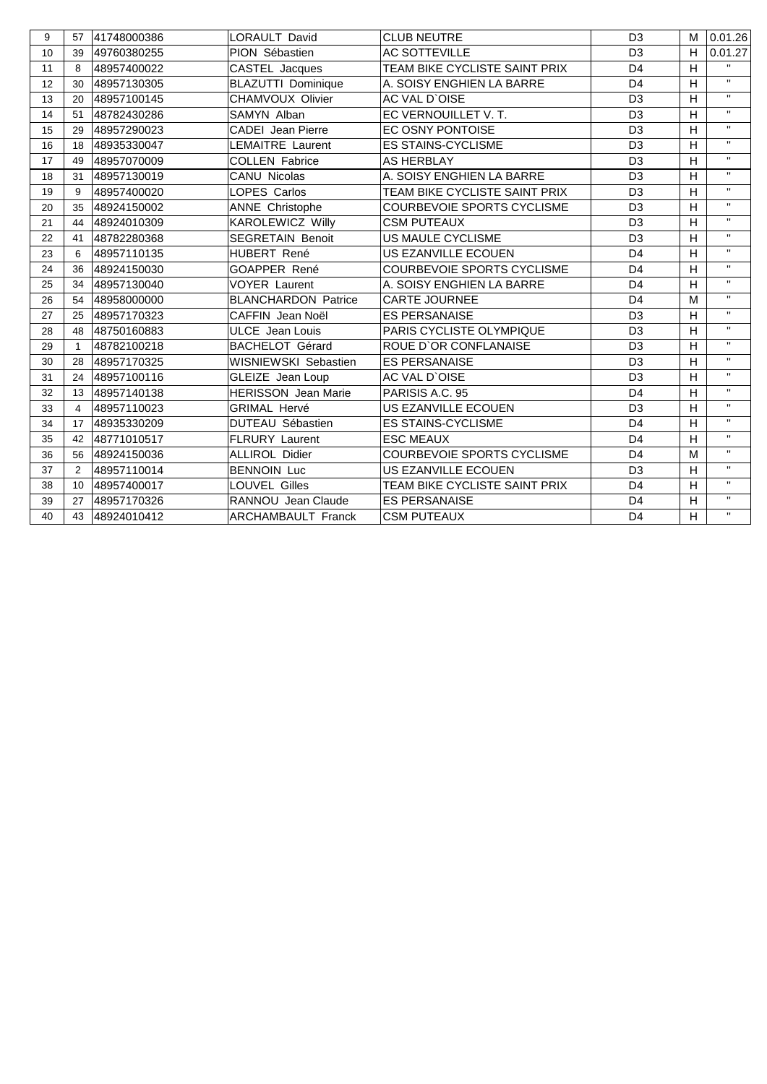| 9  | 57             | 41748000386 | LORAULT David              | <b>CLUB NEUTRE</b>                | D <sub>3</sub> | М            | 0.01.26      |
|----|----------------|-------------|----------------------------|-----------------------------------|----------------|--------------|--------------|
| 10 | 39             | 49760380255 | PION Sébastien             | <b>AC SOTTEVILLE</b>              | D <sub>3</sub> | H.           | 0.01.27      |
| 11 | 8              | 48957400022 | CASTEL Jacques             | TEAM BIKE CYCLISTE SAINT PRIX     | D <sub>4</sub> | H            | $\mathbf{H}$ |
| 12 | 30             | 48957130305 | <b>BLAZUTTI Dominique</b>  | A. SOISY ENGHIEN LA BARRE         | D <sub>4</sub> | н            | $\mathbf{H}$ |
| 13 | 20             | 48957100145 | <b>CHAMVOUX Olivier</b>    | AC VAL D'OISE                     | D <sub>3</sub> | H            | $\mathbf{H}$ |
| 14 | 51             | 48782430286 | SAMYN Alban                | EC VERNOUILLET V.T.               | D <sub>3</sub> | $\mathsf{H}$ | $\mathbf{H}$ |
| 15 | 29             | 48957290023 | <b>CADEI Jean Pierre</b>   | EC OSNY PONTOISE                  | D <sub>3</sub> | H            | $\mathbf{H}$ |
| 16 | 18             | 48935330047 | <b>LEMAITRE Laurent</b>    | <b>ES STAINS-CYCLISME</b>         | D <sub>3</sub> | н            | $\mathbf{H}$ |
| 17 | 49             | 48957070009 | <b>COLLEN Fabrice</b>      | <b>AS HERBLAY</b>                 | D <sub>3</sub> | н            | $\mathbf{H}$ |
| 18 | 31             | 48957130019 | <b>CANU Nicolas</b>        | A. SOISY ENGHIEN LA BARRE         | D <sub>3</sub> | H            | $\mathbf{H}$ |
| 19 | 9              | 48957400020 | LOPES Carlos               | TEAM BIKE CYCLISTE SAINT PRIX     | D <sub>3</sub> | H            | $\mathbf{H}$ |
| 20 | 35             | 48924150002 | <b>ANNE Christophe</b>     | COURBEVOIE SPORTS CYCLISME        | D <sub>3</sub> | H            | $\mathbf{H}$ |
| 21 | 44             | 48924010309 | <b>KAROLEWICZ Willy</b>    | <b>CSM PUTEAUX</b>                | D <sub>3</sub> | H            | $\mathbf{H}$ |
| 22 | 41             | 48782280368 | <b>SEGRETAIN Benoit</b>    | US MAULE CYCLISME                 | D <sub>3</sub> | н            | $\mathbf{H}$ |
| 23 | 6              | 48957110135 | HUBERT René                | US EZANVILLE ECOUEN               | D <sub>4</sub> | H            | $\mathbf{H}$ |
| 24 | 36             | 48924150030 | GOAPPER René               | <b>COURBEVOIE SPORTS CYCLISME</b> | D <sub>4</sub> | H            | $\mathbf{H}$ |
| 25 | 34             | 48957130040 | <b>VOYER Laurent</b>       | A. SOISY ENGHIEN LA BARRE         | D <sub>4</sub> | $\mathsf{H}$ | $\mathbf{H}$ |
| 26 | 54             | 48958000000 | <b>BLANCHARDON Patrice</b> | <b>CARTE JOURNEE</b>              | D <sub>4</sub> | M            | $\mathbf{H}$ |
| 27 | 25             | 48957170323 | CAFFIN Jean Noël           | <b>ES PERSANAISE</b>              | D <sub>3</sub> | H            | $\mathbf{H}$ |
| 28 | 48             | 48750160883 | <b>ULCE</b> Jean Louis     | PARIS CYCLISTE OLYMPIQUE          | D <sub>3</sub> | Н            | $\mathbf{H}$ |
| 29 | $\mathbf{1}$   | 48782100218 | <b>BACHELOT Gérard</b>     | ROUE D'OR CONFLANAISE             | D <sub>3</sub> | H            | $\mathbf{H}$ |
| 30 | 28             | 48957170325 | WISNIEWSKI Sebastien       | <b>ES PERSANAISE</b>              | D <sub>3</sub> | H            | $\mathbf{H}$ |
| 31 | 24             | 48957100116 | GLEIZE Jean Loup           | AC VAL D'OISE                     | D <sub>3</sub> | H            | $\mathbf{H}$ |
| 32 | 13             | 48957140138 | <b>HERISSON</b> Jean Marie | PARISIS A.C. 95                   | D <sub>4</sub> | H            | $\mathbf{H}$ |
| 33 | $\overline{4}$ | 48957110023 | <b>GRIMAL Hervé</b>        | US EZANVILLE ECOUEN               | D <sub>3</sub> | H            | $\mathbf{H}$ |
| 34 | 17             | 48935330209 | <b>DUTEAU Sébastien</b>    | <b>ES STAINS-CYCLISME</b>         | D <sub>4</sub> | Н            | $\mathbf{H}$ |
| 35 | 42             | 48771010517 | <b>FLRURY Laurent</b>      | <b>ESC MEAUX</b>                  | D <sub>4</sub> | H            | $\mathbf{H}$ |
| 36 | 56             | 48924150036 | <b>ALLIROL Didier</b>      | <b>COURBEVOIE SPORTS CYCLISME</b> | D <sub>4</sub> | M            | $\mathbf{H}$ |
| 37 | 2              | 48957110014 | <b>BENNOIN Luc</b>         | US EZANVILLE ECOUEN               | D <sub>3</sub> | H            | $\mathbf{H}$ |
| 38 | 10             | 48957400017 | LOUVEL Gilles              | TEAM BIKE CYCLISTE SAINT PRIX     | D <sub>4</sub> | H            | $\mathbf{H}$ |
| 39 | 27             | 48957170326 | RANNOU Jean Claude         | <b>ES PERSANAISE</b>              | D <sub>4</sub> | H            | $\mathbf{H}$ |
| 40 | 43             | 48924010412 | <b>ARCHAMBAULT Franck</b>  | <b>CSM PUTEAUX</b>                | D <sub>4</sub> | H            | $\mathbf{H}$ |